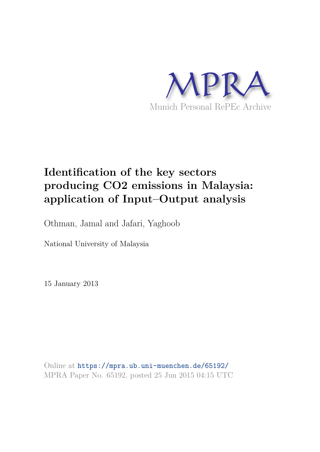

# **Identification of the key sectors producing CO2 emissions in Malaysia: application of Input–Output analysis**

Othman, Jamal and Jafari, Yaghoob

National University of Malaysia

15 January 2013

Online at https://mpra.ub.uni-muenchen.de/65192/ MPRA Paper No. 65192, posted 25 Jun 2015 04:15 UTC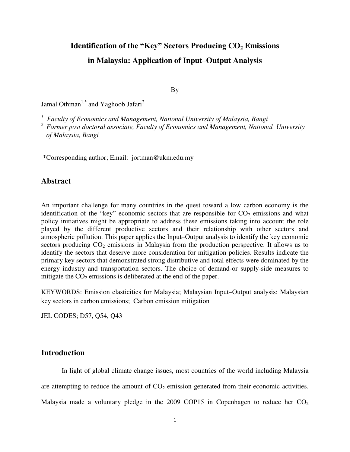## **Identification of the "Key" Sectors Producing CO2 Emissions in Malaysia: Application of Input**–**Output Analysis**

By

Jamal Othman<sup>1,\*</sup> and Yaghoob Jafari<sup>2</sup>

*<sup>1</sup>Faculty of Economics and Management, National University of Malaysia, Bangi* 

*<sup>2</sup>Former post doctoral associate, Faculty of Economics and Management, National University of Malaysia, Bangi* 

\*Corresponding author; Email: jortman@ukm.edu.my

#### **Abstract**

An important challenge for many countries in the quest toward a low carbon economy is the identification of the "key" economic sectors that are responsible for  $CO<sub>2</sub>$  emissions and what policy initiatives might be appropriate to address these emissions taking into account the role played by the different productive sectors and their relationship with other sectors and atmospheric pollution. This paper applies the Input–Output analysis to identify the key economic sectors producing  $CO_2$  emissions in Malaysia from the production perspective. It allows us to identify the sectors that deserve more consideration for mitigation policies. Results indicate the primary key sectors that demonstrated strong distributive and total effects were dominated by the energy industry and transportation sectors. The choice of demand-or supply-side measures to mitigate the  $CO<sub>2</sub>$  emissions is deliberated at the end of the paper.

KEYWORDS: Emission elasticities for Malaysia; Malaysian Input–Output analysis; Malaysian key sectors in carbon emissions; Carbon emission mitigation

JEL CODES; D57, Q54, Q43

### **Introduction**

 In light of global climate change issues, most countries of the world including Malaysia are attempting to reduce the amount of  $CO<sub>2</sub>$  emission generated from their economic activities. Malaysia made a voluntary pledge in the 2009 COP15 in Copenhagen to reduce her  $CO<sub>2</sub>$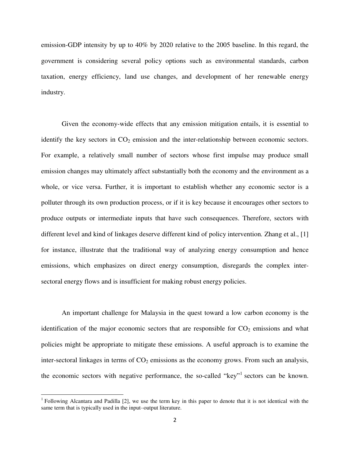emission-GDP intensity by up to 40% by 2020 relative to the 2005 baseline. In this regard, the government is considering several policy options such as environmental standards, carbon taxation, energy efficiency, land use changes, and development of her renewable energy industry.

 Given the economy-wide effects that any emission mitigation entails, it is essential to identify the key sectors in  $CO<sub>2</sub>$  emission and the inter-relationship between economic sectors. For example, a relatively small number of sectors whose first impulse may produce small emission changes may ultimately affect substantially both the economy and the environment as a whole, or vice versa. Further, it is important to establish whether any economic sector is a polluter through its own production process, or if it is key because it encourages other sectors to produce outputs or intermediate inputs that have such consequences. Therefore, sectors with different level and kind of linkages deserve different kind of policy intervention*.* Zhang et al., [1] for instance, illustrate that the traditional way of analyzing energy consumption and hence emissions, which emphasizes on direct energy consumption, disregards the complex intersectoral energy flows and is insufficient for making robust energy policies.

 An important challenge for Malaysia in the quest toward a low carbon economy is the identification of the major economic sectors that are responsible for  $CO<sub>2</sub>$  emissions and what policies might be appropriate to mitigate these emissions. A useful approach is to examine the inter-sectoral linkages in terms of  $CO<sub>2</sub>$  emissions as the economy grows. From such an analysis, the economic sectors with negative performance, the so-called "key"<sup>1</sup> sectors can be known.

l

<sup>&</sup>lt;sup>1</sup> Following Alcantara and Padilla [2], we use the term key in this paper to denote that it is not identical with the same term that is typically used in the input–output literature.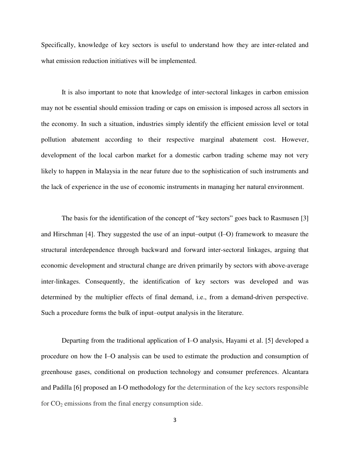Specifically, knowledge of key sectors is useful to understand how they are inter-related and what emission reduction initiatives will be implemented.

 It is also important to note that knowledge of inter-sectoral linkages in carbon emission may not be essential should emission trading or caps on emission is imposed across all sectors in the economy. In such a situation, industries simply identify the efficient emission level or total pollution abatement according to their respective marginal abatement cost. However, development of the local carbon market for a domestic carbon trading scheme may not very likely to happen in Malaysia in the near future due to the sophistication of such instruments and the lack of experience in the use of economic instruments in managing her natural environment.

 The basis for the identification of the concept of "key sectors" goes back to Rasmusen [3] and Hirschman [4]. They suggested the use of an input–output (I–O) framework to measure the structural interdependence through backward and forward inter-sectoral linkages, arguing that economic development and structural change are driven primarily by sectors with above-average inter-linkages. Consequently, the identification of key sectors was developed and was determined by the multiplier effects of final demand, i.e., from a demand-driven perspective. Such a procedure forms the bulk of input–output analysis in the literature.

 Departing from the traditional application of I–O analysis, Hayami et al. [5] developed a procedure on how the I–O analysis can be used to estimate the production and consumption of greenhouse gases, conditional on production technology and consumer preferences. Alcantara and Padilla [6] proposed an I-O methodology for the determination of the key sectors responsible for  $CO<sub>2</sub>$  emissions from the final energy consumption side.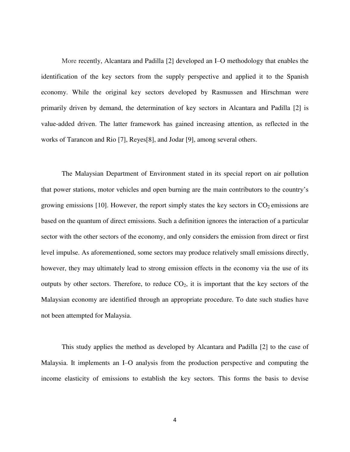More recently, Alcantara and Padilla [2] developed an I–O methodology that enables the identification of the key sectors from the supply perspective and applied it to the Spanish economy. While the original key sectors developed by Rasmussen and Hirschman were primarily driven by demand, the determination of key sectors in Alcantara and Padilla [2] is value-added driven. The latter framework has gained increasing attention, as reflected in the works of Tarancon and Rio [7], Reyes[8], and Jodar [9], among several others.

 The Malaysian Department of Environment stated in its special report on air pollution that power stations, motor vehicles and open burning are the main contributors to the country's growing emissions [10]. However, the report simply states the key sectors in  $CO<sub>2</sub>$  emissions are based on the quantum of direct emissions. Such a definition ignores the interaction of a particular sector with the other sectors of the economy, and only considers the emission from direct or first level impulse. As aforementioned, some sectors may produce relatively small emissions directly, however, they may ultimately lead to strong emission effects in the economy via the use of its outputs by other sectors. Therefore, to reduce  $CO<sub>2</sub>$ , it is important that the key sectors of the Malaysian economy are identified through an appropriate procedure. To date such studies have not been attempted for Malaysia.

 This study applies the method as developed by Alcantara and Padilla [2] to the case of Malaysia. It implements an I–O analysis from the production perspective and computing the income elasticity of emissions to establish the key sectors. This forms the basis to devise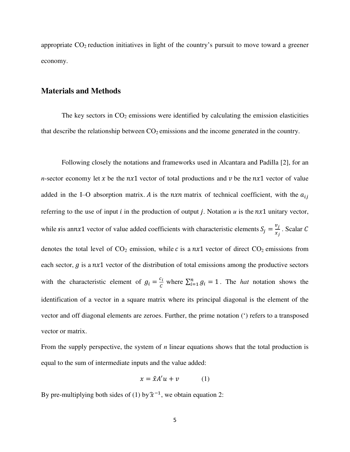appropriate  $CO<sub>2</sub>$  reduction initiatives in light of the country's pursuit to move toward a greener economy.

#### **Materials and Methods**

The key sectors in  $CO<sub>2</sub>$  emissions were identified by calculating the emission elasticities that describe the relationship between  $CO<sub>2</sub>$  emissions and the income generated in the country.

 Following closely the notations and frameworks used in Alcantara and Padilla [2], for an *n*-sector economy let x be the  $nx1$  vector of total productions and v be the  $nx1$  vector of value added in the I–O absorption matrix. A is the  $n x n$  matrix of technical coefficient, with the  $a_{ij}$ referring to the use of input  $i$  in the production of output  $j$ . Notation  $u$  is the  $nx1$  unitary vector, while *s*is annx1 vector of value added coefficients with characteristic elements  $S_j = \frac{v_j}{x_i}$  $\frac{y_j}{x_j}$ . Scalar C denotes the total level of  $CO_2$  emission, while c is a  $nx1$  vector of direct  $CO_2$  emissions from each sector,  $g$  is a  $nx1$  vector of the distribution of total emissions among the productive sectors with the characteristic element of  $g_i = \frac{c_i}{c}$  $\sum_{i=1}^{n} g_i = 1$ . The *hat* notation shows the identification of a vector in a square matrix where its principal diagonal is the element of the vector and off diagonal elements are zeroes. Further, the prime notation (') refers to a transposed vector or matrix.

From the supply perspective, the system of *n* linear equations shows that the total production is equal to the sum of intermediate inputs and the value added:

$$
x = \hat{x}A'u + v \tag{1}
$$

By pre-multiplying both sides of (1) by  $\hat{\chi}^{-1}$ , we obtain equation 2: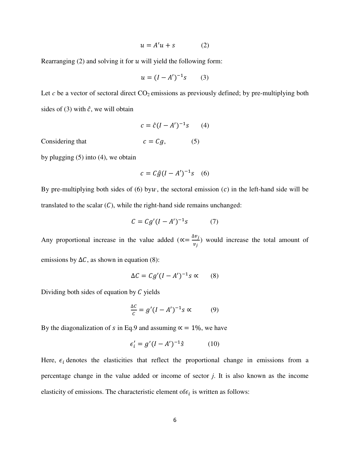$$
u = A'u + s \tag{2}
$$

Rearranging  $(2)$  and solving it for  $u$  will yield the following form:

$$
u = (I - A')^{-1}s \qquad (3)
$$

Let  $c$  be a vector of sectoral direct  $CO_2$  emissions as previously defined; by pre-multiplying both sides of (3) with  $\hat{c}$ , we will obtain

$$
c = \hat{c}(I - A')^{-1}s \qquad (4)
$$

Considering that

$$
c = Cg, \tag{5}
$$

by plugging (5) into (4), we obtain

$$
c = C\hat{g}(I - A')^{-1}s \quad (6)
$$

By pre-multiplying both sides of  $(6)$  byw, the sectoral emission  $(c)$  in the left-hand side will be translated to the scalar  $(C)$ , while the right-hand side remains unchanged:

$$
C = Cg'(I - A')^{-1}s \tag{7}
$$

Any proportional increase in the value added ( $\alpha = \frac{\Delta v_j}{v_j}$  $v_j$ ) would increase the total amount of emissions by  $\Delta C$ , as shown in equation (8):

$$
\Delta C = C g' (I - A')^{-1} s \propto (8)
$$

Dividing both sides of equation by  $C$  yields

$$
\frac{\Delta C}{c} = g'(I - A')^{-1} s \propto (9)
$$

By the diagonalization of *s* in Eq.9 and assuming  $\alpha = 1\%$ , we have

$$
\epsilon_i' = g'(I - A')^{-1}\hat{s} \tag{10}
$$

Here,  $\epsilon_i$  denotes the elasticities that reflect the proportional change in emissions from a percentage change in the value added or income of sector *j*. It is also known as the income elasticity of emissions. The characteristic element of  $\epsilon_i$  is written as follows: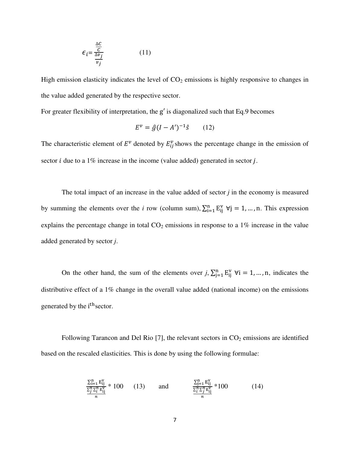$$
\epsilon_{i} = \frac{\frac{\Delta C}{C}}{\frac{\Delta v_{j}}{v_{j}}}
$$
(11)

High emission elasticity indicates the level of  $CO<sub>2</sub>$  emissions is highly responsive to changes in the value added generated by the respective sector.

For greater flexibility of interpretation, the g ′ is diagonalized such that Eq.9 becomes

$$
E^{\nu} = \hat{g}(I - A')^{-1}\hat{s} \qquad (12)
$$

The characteristic element of  $E^v$  denoted by  $E_{ij}^v$  shows the percentage change in the emission of sector  $i$  due to a 1% increase in the income (value added) generated in sector  $j$ .

 The total impact of an increase in the value added of sector *j* in the economy is measured by summing the elements over the *i* row (column sum),  $\sum_{i=1}^{n} E_{ij}^{V}$   $\forall j = 1, ..., n$ . This expression explains the percentage change in total  $CO<sub>2</sub>$  emissions in response to a 1% increase in the value added generated by sector *j*.

On the other hand, the sum of the elements over *j*,  $\sum_{j=1}^{n} E_{ij}^{V}$   $\forall i = 1, ..., n$ , indicates the distributive effect of a 1% change in the overall value added (national income) on the emissions generated by the i<sup>th</sup> sector.

Following Tarancon and Del Rio  $[7]$ , the relevant sectors in  $CO<sub>2</sub>$  emissions are identified based on the rescaled elasticities*.* This is done by using the following formulae:

$$
\frac{\sum_{i=1}^{n} E_{ij}^{V}}{\frac{\sum_{j=1}^{n} E_{ij}^{V}}{n}} * 100 \qquad (13) \qquad \text{and} \qquad \frac{\sum_{j=1}^{n} E_{ij}^{V}}{\frac{\sum_{i=1}^{n} E_{ij}^{V}}{n}} * 100 \qquad (14)
$$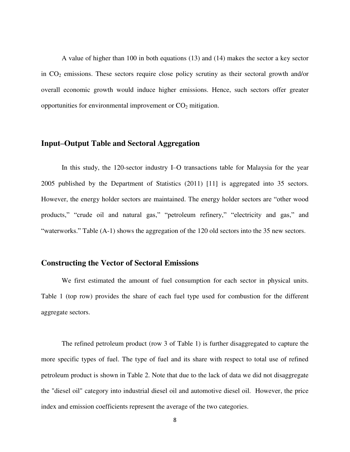A value of higher than 100 in both equations (13) and (14) makes the sector a key sector in  $CO<sub>2</sub>$  emissions. These sectors require close policy scrutiny as their sectoral growth and/or overall economic growth would induce higher emissions. Hence, such sectors offer greater opportunities for environmental improvement or  $CO<sub>2</sub>$  mitigation.

#### **Input–Output Table and Sectoral Aggregation**

 In this study, the 120-sector industry I–O transactions table for Malaysia for the year 2005 published by the Department of Statistics (2011) [11] is aggregated into 35 sectors. However, the energy holder sectors are maintained. The energy holder sectors are "other wood products," "crude oil and natural gas," "petroleum refinery," "electricity and gas," and "waterworks." Table (A-1) shows the aggregation of the 120 old sectors into the 35 new sectors.

#### **Constructing the Vector of Sectoral Emissions**

 We first estimated the amount of fuel consumption for each sector in physical units. Table 1 (top row) provides the share of each fuel type used for combustion for the different aggregate sectors.

 The refined petroleum product (row 3 of Table 1) is further disaggregated to capture the more specific types of fuel. The type of fuel and its share with respect to total use of refined petroleum product is shown in Table 2. Note that due to the lack of data we did not disaggregate the "diesel oil" category into industrial diesel oil and automotive diesel oil. However, the price index and emission coefficients represent the average of the two categories.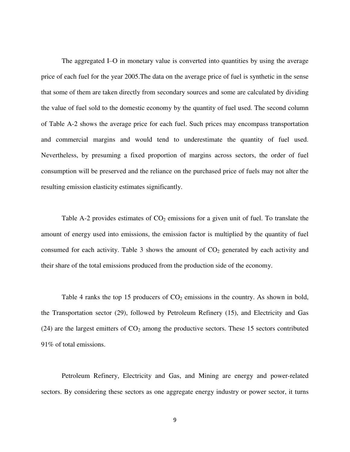The aggregated I–O in monetary value is converted into quantities by using the average price of each fuel for the year 2005.The data on the average price of fuel is synthetic in the sense that some of them are taken directly from secondary sources and some are calculated by dividing the value of fuel sold to the domestic economy by the quantity of fuel used. The second column of Table A-2 shows the average price for each fuel. Such prices may encompass transportation and commercial margins and would tend to underestimate the quantity of fuel used. Nevertheless, by presuming a fixed proportion of margins across sectors, the order of fuel consumption will be preserved and the reliance on the purchased price of fuels may not alter the resulting emission elasticity estimates significantly.

Table A-2 provides estimates of  $CO<sub>2</sub>$  emissions for a given unit of fuel. To translate the amount of energy used into emissions, the emission factor is multiplied by the quantity of fuel consumed for each activity. Table 3 shows the amount of  $CO<sub>2</sub>$  generated by each activity and their share of the total emissions produced from the production side of the economy.

Table 4 ranks the top 15 producers of  $CO<sub>2</sub>$  emissions in the country. As shown in bold, the Transportation sector (29), followed by Petroleum Refinery (15), and Electricity and Gas  $(24)$  are the largest emitters of  $CO<sub>2</sub>$  among the productive sectors. These 15 sectors contributed 91% of total emissions.

 Petroleum Refinery, Electricity and Gas, and Mining are energy and power-related sectors. By considering these sectors as one aggregate energy industry or power sector, it turns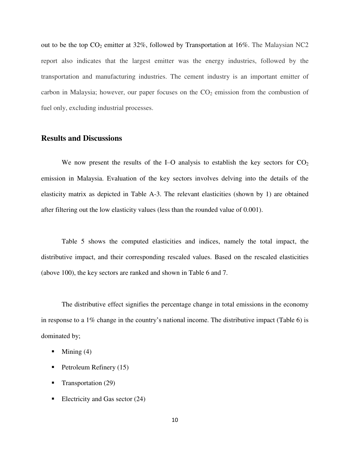out to be the top  $CO_2$  emitter at 32%, followed by Transportation at 16%. The Malaysian NC2 report also indicates that the largest emitter was the energy industries, followed by the transportation and manufacturing industries. The cement industry is an important emitter of carbon in Malaysia; however, our paper focuses on the  $CO<sub>2</sub>$  emission from the combustion of fuel only, excluding industrial processes.

#### **Results and Discussions**

We now present the results of the I–O analysis to establish the key sectors for  $CO<sub>2</sub>$ emission in Malaysia. Evaluation of the key sectors involves delving into the details of the elasticity matrix as depicted in Table A-3. The relevant elasticities (shown by 1) are obtained after filtering out the low elasticity values (less than the rounded value of 0.001).

 Table 5 shows the computed elasticities and indices, namely the total impact, the distributive impact, and their corresponding rescaled values. Based on the rescaled elasticities (above 100), the key sectors are ranked and shown in Table 6 and 7.

 The distributive effect signifies the percentage change in total emissions in the economy in response to a 1% change in the country's national income. The distributive impact (Table 6) is dominated by;

- $\blacksquare$  Mining (4)
- Petroleum Refinery  $(15)$
- **Transportation (29)**
- Electricity and Gas sector  $(24)$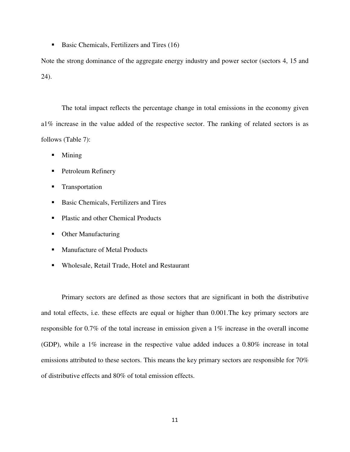Basic Chemicals, Fertilizers and Tires (16)

Note the strong dominance of the aggregate energy industry and power sector (sectors 4, 15 and 24).

 The total impact reflects the percentage change in total emissions in the economy given a1% increase in the value added of the respective sector. The ranking of related sectors is as follows (Table 7):

- Mining
- **Petroleum Refinery**
- **Transportation**
- Basic Chemicals, Fertilizers and Tires
- Plastic and other Chemical Products
- Other Manufacturing
- Manufacture of Metal Products
- Wholesale, Retail Trade, Hotel and Restaurant

 Primary sectors are defined as those sectors that are significant in both the distributive and total effects, i.e. these effects are equal or higher than 0.001.The key primary sectors are responsible for 0.7% of the total increase in emission given a 1% increase in the overall income (GDP), while a 1% increase in the respective value added induces a 0.80% increase in total emissions attributed to these sectors. This means the key primary sectors are responsible for 70% of distributive effects and 80% of total emission effects.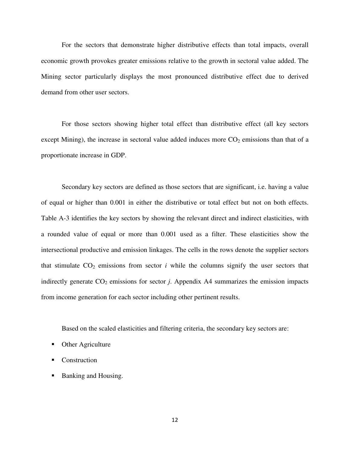For the sectors that demonstrate higher distributive effects than total impacts, overall economic growth provokes greater emissions relative to the growth in sectoral value added. The Mining sector particularly displays the most pronounced distributive effect due to derived demand from other user sectors.

 For those sectors showing higher total effect than distributive effect (all key sectors except Mining), the increase in sectoral value added induces more  $CO<sub>2</sub>$  emissions than that of a proportionate increase in GDP.

 Secondary key sectors are defined as those sectors that are significant, i.e. having a value of equal or higher than 0.001 in either the distributive or total effect but not on both effects. Table A-3 identifies the key sectors by showing the relevant direct and indirect elasticities, with a rounded value of equal or more than 0.001 used as a filter. These elasticities show the intersectional productive and emission linkages. The cells in the rows denote the supplier sectors that stimulate  $CO<sub>2</sub>$  emissions from sector *i* while the columns signify the user sectors that indirectly generate  $CO_2$  emissions for sector *j*. Appendix A4 summarizes the emission impacts from income generation for each sector including other pertinent results.

Based on the scaled elasticities and filtering criteria, the secondary key sectors are:

- Other Agriculture
- Construction
- Banking and Housing.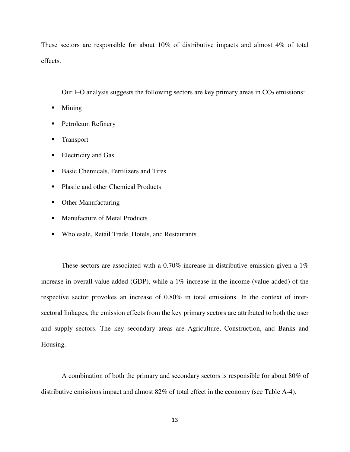These sectors are responsible for about 10% of distributive impacts and almost 4% of total effects.

Our I–O analysis suggests the following sectors are key primary areas in  $CO<sub>2</sub>$  emissions:

- Mining
- **Petroleum Refinery**
- **Transport**
- **Electricity and Gas**
- Basic Chemicals, Fertilizers and Tires
- Plastic and other Chemical Products
- Other Manufacturing
- Manufacture of Metal Products
- Wholesale, Retail Trade, Hotels, and Restaurants

These sectors are associated with a 0.70% increase in distributive emission given a 1% increase in overall value added (GDP), while a 1% increase in the income (value added) of the respective sector provokes an increase of 0.80% in total emissions. In the context of intersectoral linkages, the emission effects from the key primary sectors are attributed to both the user and supply sectors. The key secondary areas are Agriculture, Construction, and Banks and Housing.

 A combination of both the primary and secondary sectors is responsible for about 80% of distributive emissions impact and almost 82% of total effect in the economy (see Table A-4).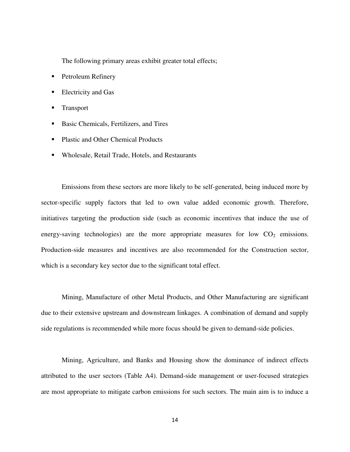The following primary areas exhibit greater total effects;

- **Petroleum Refinery**
- Electricity and Gas
- Transport
- Basic Chemicals, Fertilizers, and Tires
- Plastic and Other Chemical Products
- Wholesale, Retail Trade, Hotels, and Restaurants

 Emissions from these sectors are more likely to be self-generated, being induced more by sector-specific supply factors that led to own value added economic growth. Therefore, initiatives targeting the production side (such as economic incentives that induce the use of energy-saving technologies) are the more appropriate measures for low  $CO<sub>2</sub>$  emissions. Production-side measures and incentives are also recommended for the Construction sector, which is a secondary key sector due to the significant total effect.

 Mining, Manufacture of other Metal Products, and Other Manufacturing are significant due to their extensive upstream and downstream linkages. A combination of demand and supply side regulations is recommended while more focus should be given to demand-side policies.

 Mining, Agriculture, and Banks and Housing show the dominance of indirect effects attributed to the user sectors (Table A4). Demand-side management or user-focused strategies are most appropriate to mitigate carbon emissions for such sectors. The main aim is to induce a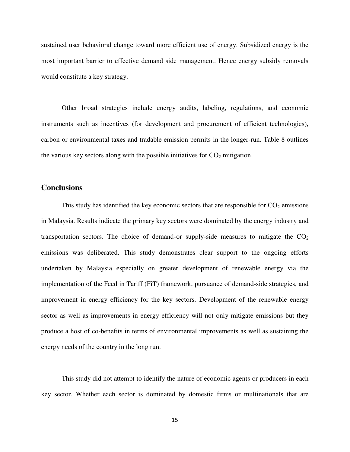sustained user behavioral change toward more efficient use of energy. Subsidized energy is the most important barrier to effective demand side management. Hence energy subsidy removals would constitute a key strategy.

 Other broad strategies include energy audits, labeling, regulations, and economic instruments such as incentives (for development and procurement of efficient technologies), carbon or environmental taxes and tradable emission permits in the longer-run. Table 8 outlines the various key sectors along with the possible initiatives for  $CO<sub>2</sub>$  mitigation.

#### **Conclusions**

This study has identified the key economic sectors that are responsible for  $CO<sub>2</sub>$  emissions in Malaysia. Results indicate the primary key sectors were dominated by the energy industry and transportation sectors. The choice of demand-or supply-side measures to mitigate the  $CO<sub>2</sub>$ emissions was deliberated. This study demonstrates clear support to the ongoing efforts undertaken by Malaysia especially on greater development of renewable energy via the implementation of the Feed in Tariff (FiT) framework, pursuance of demand-side strategies, and improvement in energy efficiency for the key sectors. Development of the renewable energy sector as well as improvements in energy efficiency will not only mitigate emissions but they produce a host of co-benefits in terms of environmental improvements as well as sustaining the energy needs of the country in the long run.

 This study did not attempt to identify the nature of economic agents or producers in each key sector. Whether each sector is dominated by domestic firms or multinationals that are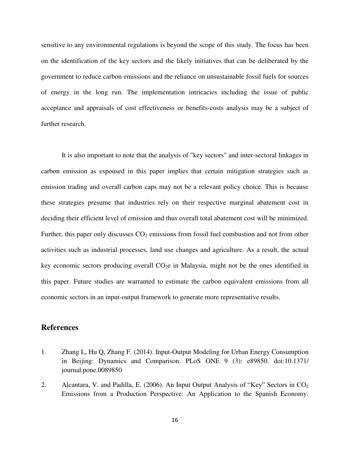sensitive to any environmental regulations is beyond the scope of this study. The focus has been on the identification of the key sectors and the likely initiatives that can be deliberated by the government to reduce carbon emissions and the reliance on unsustainable fossil fuels for sources of energy in the long run. The implementation intricacies including the issue of public acceptance and appraisals of cost effectiveness or benefits-costs analysis may be a subject of further research.

 It is also important to note that the analysis of "key sectors" and inter-sectoral linkages in carbon emission as espoused in this paper implies that certain mitigation strategies such as emission trading and overall carbon caps may not be a relevant policy choice. This is because these strategies presume that industries rely on their respective marginal abatement cost in deciding their efficient level of emission and thus overall total abatement cost will be minimized. Further, this paper only discusses  $CO<sub>2</sub>$  emissions from fossil fuel combustion and not from other activities such as industrial processes, land use changes and agriculture. As a result, the actual key economic sectors producing overall  $CO<sub>2</sub>e$  in Malaysia, might not be the ones identified in this paper. Future studies are warranted to estimate the carbon equivalent emissions from all economic sectors in an input-output framework to generate more representative results.

#### **References**

- 1. Zhang L, Hu Q, Zhang F. (2014). Input-Output Modeling for Urban Energy Consumption in Beijing: Dynamics and Comparison. PLoS ONE 9 (3): e89850. doi:10.1371/ journal.pone.0089850
- 2. Alcantara, V. and Padilla, E. (2006). An Input Output Analysis of "Key" Sectors in  $CO<sub>2</sub>$ Emissions from a Production Perspective: An Application to the Spanish Economy.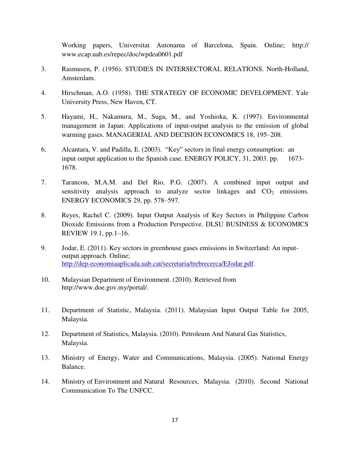Working papers, Universitat Autonama of Barcelona, Spain. Online; http:// www.ecap.uab.es/repec/doc/wpdea0601.pdf

- 3. Rasmusen, P. (1956). STUDIES IN INTERSECTORAL RELATIONS. North-Holland, Amsterdam.
- 4. Hirschman, A.O. (1958). THE STRATEGY OF ECONOMIC DEVELOPMENT. Yale University Press, New Haven, CT.
- 5. Hayami, H., Nakamura, M., Suga, M., and Yoshioka, K. (1997). Environmental management in Japan: Applications of input-output analysis to the emission of global warming gases. MANAGERIAL AND DECISION ECONOMICS 18, 195–208.
- 6. Alcantara, V. and Padilla, E. (2003). "Key" sectors in final energy consumption: an input output application to the Spanish case. ENERGY POLICY, 31, 2003. pp. 1673- 1678.
- 7. Tarancon, M.A.M. and Del Rio, P.G. (2007). A combined input output and sensitivity analysis approach to analyze sector linkages and  $CO<sub>2</sub>$  emissions. ENERGY ECONOMICS 29, pp. 578–597*.*
- 8. Reyes, Rachel C. (2009). Input Output Analysis of Key Sectors in Philippine Carbon Dioxide Emissions from a Production Perspective. DLSU BUSINESS & ECONOMICS REVIEW 19.1, pp.1–16.
- 9. Jodar, E. (2011). Key sectors in greenhouse gases emissions in Switzerland: An inputoutput approach. Online; [http://dep-economiaaplicada.uab.cat/secretaria/trebrecerca/EJodar.pdf.](http://dep-economiaaplicada.uab.cat/secretaria/trebrecerca/EJodar.pdf)
- 10. Malaysian Department of Environment. (2010). Retrieved from http://www.doe.gov.my/portal/.
- 11. Department of Statistic, Malaysia. (2011). Malaysian Input Output Table for 2005, Malaysia.
- 12. Department of Statistics, Malaysia. (2010). Petroleum And Natural Gas Statistics, Malaysia.
- 13. Ministry of Energy, Water and Communications, Malaysia. (2005). National Energy Balance.
- 14. Ministry of Environment and Natural Resources, Malaysia. (2010). Second National Communication To The UNFCC.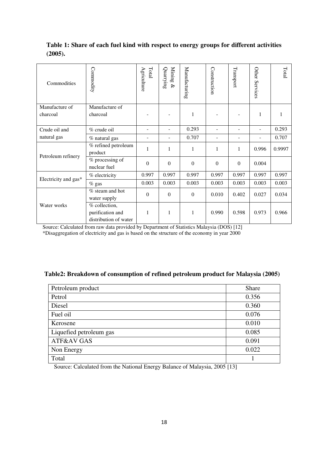## **Table 1: Share of each fuel kind with respect to energy groups for different activities (2005).**

| Commodities                | Connnodity                                                 | Total<br>$\mathrm{A}$ griculture | Mining<br>Quarrying<br>$\otimes$ | Manufacturing  | Construction | Transport      | Other Services | Total  |
|----------------------------|------------------------------------------------------------|----------------------------------|----------------------------------|----------------|--------------|----------------|----------------|--------|
| Manufacture of<br>charcoal | Manufacture of<br>charcoal                                 |                                  |                                  | 1              |              |                | 1              |        |
| Crude oil and              | % crude oil                                                |                                  |                                  | 0.293          |              | $\blacksquare$ |                | 0.293  |
| natural gas                | % natural gas                                              |                                  |                                  | 0.707          |              |                |                | 0.707  |
| Petroleum refinery         | $%$ refined petroleum<br>product                           | 1                                | 1                                | 1              | 1            | $\mathbf{1}$   | 0.996          | 0.9997 |
|                            | % processing of<br>nuclear fuel                            | $\overline{0}$                   | $\mathbf{0}$                     | $\Omega$       | $\mathbf{0}$ | $\overline{0}$ | 0.004          |        |
| Electricity and gas*       | % electricity                                              | 0.997                            | 0.997                            | 0.997          | 0.997        | 0.997          | 0.997          | 0.997  |
|                            | $%$ gas                                                    | 0.003                            | 0.003                            | 0.003          | 0.003        | 0.003          | 0.003          | 0.003  |
|                            | $%$ steam and hot<br>water supply                          | $\mathbf{0}$                     | $\Omega$                         | $\overline{0}$ | 0.010        | 0.402          | 0.027          | 0.034  |
| Water works                | % collection,<br>purification and<br>distribution of water | 1                                | 1                                | 1              | 0.990        | 0.598          | 0.973          | 0.966  |

Source: Calculated from raw data provided by Department of Statistics Malaysia (DOS) [12]

\*Disaggregation of electricity and gas is based on the structure of the economy in year 2000

## **Table2: Breakdown of consumption of refined petroleum product for Malaysia (2005)**

| Petroleum product       | Share |
|-------------------------|-------|
| Petrol                  | 0.356 |
| Diesel                  | 0.360 |
| Fuel oil                | 0.076 |
| Kerosene                | 0.010 |
| Liquefied petroleum gas | 0.085 |
| ATF&AV GAS              | 0.091 |
| Non Energy              | 0.022 |
| Total                   |       |

Source: Calculated from the National Energy Balance of Malaysia, 2005 [13]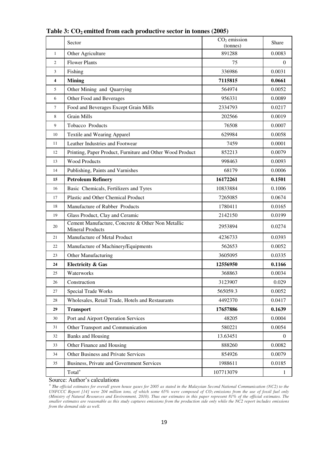|              | Sector                                                                       | $CO2$ emission<br>(tonnes) | Share            |
|--------------|------------------------------------------------------------------------------|----------------------------|------------------|
| $\mathbf{1}$ | Other Agriculture                                                            | 891288                     | 0.0083           |
| 2            | <b>Flower Plants</b>                                                         | 75                         | $\theta$         |
| 3            | Fishing                                                                      | 336986                     | 0.0031           |
| 4            | <b>Mining</b>                                                                | 7115815                    | 0.0661           |
| 5            | Other Mining and Quarrying                                                   | 564974                     | 0.0052           |
| 6            | Other Food and Beverages                                                     | 956331                     | 0.0089           |
| 7            | Food and Beverages Except Grain Mills                                        | 2334793                    | 0.0217           |
| 8            | <b>Grain Mills</b>                                                           | 202566                     | 0.0019           |
| 9            | Tobacco Products                                                             | 76508                      | 0.0007           |
| 10           | Textile and Wearing Apparel                                                  | 629984                     | 0.0058           |
| 11           | Leather Industries and Footwear                                              | 7459                       | 0.0001           |
| 12           | Printing, Paper Product, Furniture and Other Wood Product                    | 852213                     | 0.0079           |
| 13           | <b>Wood Products</b>                                                         | 998463                     | 0.0093           |
| 14           | Publishing, Paints and Varnishes                                             | 68179                      | 0.0006           |
| 15           | <b>Petroleum Refinery</b>                                                    | 16172261                   | 0.1501           |
| 16           | Basic Chemicals, Fertilizers and Tyres                                       | 10833884                   | 0.1006           |
| 17           | Plastic and Other Chemical Product                                           | 7265085                    | 0.0674           |
| 18           | Manufacture of Rubber Products                                               | 1780411                    | 0.0165           |
| 19           | Glass Product, Clay and Ceramic                                              | 2142150                    | 0.0199           |
| 20           | Cement Manufacture, Concrete & Other Non Metallic<br><b>Mineral Products</b> | 2953894                    | 0.0274           |
| 21           | Manufacture of Metal Product                                                 | 4236733                    | 0.0393           |
| 22           | Manufacture of Machinery/Equipments                                          | 562653                     | 0.0052           |
| 23           | Other Manufacturing                                                          | 3605095                    | 0.0335           |
| 24           | <b>Electricity &amp; Gas</b>                                                 | 12556950                   | 0.1166           |
| 25           | Waterworks                                                                   | 368863                     | 0.0034           |
| 26           | Construction                                                                 | 3123907                    | 0.029            |
| 27           | <b>Special Trade Works</b>                                                   | 565059.3                   | 0.0052           |
| 28           | Wholesales, Retail Trade, Hotels and Restaurants                             | 4492370                    | 0.0417           |
| 29           | <b>Transport</b>                                                             | 17657886                   | 0.1639           |
| 30           | Port and Airport Operation Services                                          | 48205                      | 0.0004           |
| 31           | Other Transport and Communication                                            | 580221                     | 0.0054           |
| 32           | <b>Banks and Housing</b>                                                     | 13.63451                   | $\boldsymbol{0}$ |
| 33           | Other Finance and Housing                                                    | 888260                     | 0.0082           |
| 34           | Other Business and Private Services                                          | 854926                     | 0.0079           |
| 35           | Business, Private and Government Services                                    | 1988611                    | 0.0185           |
|              | Total <sup>+</sup>                                                           | 107713079                  | 1                |

## **Table 3: CO2 emitted from each productive sector in tonnes (2005)**

Source: Author's calculations

*<sup>+</sup>The official estimates for overall green house gases for 2005 as stated in the Malaysian Second National Communication (NC2) to the UNFCCC Report [14] were 204 million tons, of which some 65% were composed of CO2 emissions from the use of fossil fuel only (Ministry of Natural Resources and Environment, 2010). Thus our estimates in this paper represent 81% of the official estimates. The smaller estimates are reasonable as this study captures emissions from the production side only while the NC2 report includes emissions from the demand side as well.*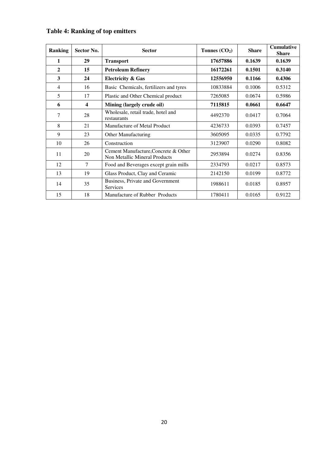| <b>Ranking</b> | Sector No. | <b>Sector</b>                                                         | Tonnes $(CO_2)$ | <b>Share</b> | <b>Cumulative</b><br><b>Share</b> |
|----------------|------------|-----------------------------------------------------------------------|-----------------|--------------|-----------------------------------|
| 1              | 29         | <b>Transport</b>                                                      | 17657886        | 0.1639       | 0.1639                            |
| $\mathbf{2}$   | 15         | <b>Petroleum Refinery</b>                                             | 16172261        | 0.1501       | 0.3140                            |
| 3              | 24         | <b>Electricity &amp; Gas</b>                                          | 12556950        | 0.1166       | 0.4306                            |
| 4              | 16         | Basic Chemicals, fertilizers and tyres                                | 10833884        | 0.1006       | 0.5312                            |
| 5              | 17         | Plastic and Other Chemical product                                    | 7265085         | 0.0674       | 0.5986                            |
| 6              | 4          | Mining (largely crude oil)                                            | 7115815         | 0.0661       | 0.6647                            |
| 7              | 28         | Wholesale, retail trade, hotel and<br>restaurants                     | 4492370         | 0.0417       | 0.7064                            |
| 8              | 21         | Manufacture of Metal Product                                          | 4236733         | 0.0393       | 0.7457                            |
| 9              | 23         | Other Manufacturing                                                   | 3605095         | 0.0335       | 0.7792                            |
| 10             | 26         | Construction                                                          | 3123907         | 0.0290       | 0.8082                            |
| 11             | 20         | Cement Manufacture, Concrete & Other<br>Non Metallic Mineral Products | 2953894         | 0.0274       | 0.8356                            |
| 12             | $\tau$     | Food and Beverages except grain mills                                 | 2334793         | 0.0217       | 0.8573                            |
| 13             | 19         | Glass Product, Clay and Ceramic                                       | 2142150         | 0.0199       | 0.8772                            |
| 14             | 35         | Business, Private and Government<br>Services                          | 1988611         | 0.0185       | 0.8957                            |
| 15             | 18         | Manufacture of Rubber Products                                        | 1780411         | 0.0165       | 0.9122                            |

## **Table 4: Ranking of top emitters**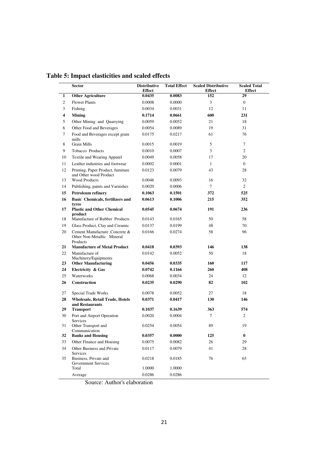|    | <b>Sector</b>                                                             | <b>Distributive</b><br><b>Effect</b> | <b>Total Effect</b> | <b>Scaled Distributive</b><br><b>Effect</b> | <b>Scaled Total</b><br><b>Effect</b> |
|----|---------------------------------------------------------------------------|--------------------------------------|---------------------|---------------------------------------------|--------------------------------------|
| 1  | <b>Other Agriculture</b>                                                  | 0.0435                               | 0.0083              | 152                                         | 29                                   |
| 2  | <b>Flower Plants</b>                                                      | 0.0008                               | 0.0000              | 3                                           | $\overline{0}$                       |
| 3  | Fishing                                                                   | 0.0034                               | 0.0031              | 12                                          | 11                                   |
| 4  | <b>Mining</b>                                                             | 0.1714                               | 0.0661              | 600                                         | 231                                  |
| 5  | Other Mining and Quarrying                                                | 0.0059                               | 0.0052              | 21                                          | 18                                   |
| 6  | Other Food and Beverages                                                  | 0.0054                               | 0.0089              | 19                                          | 31                                   |
| 7  | Food and Beverages except grain<br>mills                                  | 0.0175                               | 0.0217              | 61                                          | 76                                   |
| 8  | <b>Grain Mills</b>                                                        | 0.0015                               | 0.0019              | 5                                           | 7                                    |
| 9  | Tobacco Products                                                          | 0.0010                               | 0.0007              | 3                                           | 2                                    |
| 10 | Textile and Wearing Apparel                                               | 0.0049                               | 0.0058              | 17                                          | 20                                   |
| 11 | Leather industries and footwear                                           | 0.0002                               | 0.0001              | $\mathbf{1}$                                | $\overline{0}$                       |
| 12 | Printing, Paper Product, furniture<br>and Other wood Product              | 0.0123                               | 0.0079              | 43                                          | 28                                   |
| 13 | <b>Wood Products</b>                                                      | 0.0046                               | 0.0093              | 16                                          | 32                                   |
| 14 | Publishing, paints and Varnishes                                          | 0.0020                               | 0.0006              | $\tau$                                      | $\overline{2}$                       |
| 15 | <b>Petroleum refinery</b>                                                 | 0.1063                               | 0.1501              | 372                                         | 525                                  |
| 16 | <b>Basic Chemicals, fertilizers and</b><br>tyres                          | 0.0613                               | 0.1006              | 215                                         | 352                                  |
| 17 | <b>Plastic and Other Chemical</b><br>product                              | 0.0545                               | 0.0674              | 191                                         | 236                                  |
| 18 | Manufacture of Rubber Products                                            | 0.0143                               | 0.0165              | 50                                          | 58                                   |
| 19 | Glass Product, Clay and Ceramic                                           | 0.0137                               | 0.0199              | 48                                          | 70                                   |
| 20 | Cement Manufacture , Concrete &<br>Other Non-Metallic Mineral<br>Products | 0.0166                               | 0.0274              | 58                                          | 96                                   |
| 21 | <b>Manufacture of Metal Product</b>                                       | 0.0418                               | 0.0393              | 146                                         | 138                                  |
| 22 | Manufacture of<br>Machinery/Equipments                                    | 0.0142                               | 0.0052              | 50                                          | 18                                   |
| 23 | <b>Other Manufacturing</b>                                                | 0.0456                               | 0.0335              | 160                                         | 117                                  |
| 24 | Electricity & Gas                                                         | 0.0742                               | 0.1166              | 260                                         | 408                                  |
| 25 | Waterworks                                                                | 0.0068                               | 0.0034              | 24                                          | 12                                   |
| 26 | Construction                                                              | 0.0235                               | 0.0290              | 82                                          | 102                                  |
| 27 | Special Trade Works                                                       | 0.0078                               | 0.0052              | 27                                          | 18                                   |
| 28 | <b>Wholesale, Retail Trade, Hotels</b><br>and Restaurants                 | 0.0371                               | 0.0417              | 130                                         | 146                                  |
| 29 | <b>Transport</b>                                                          | 0.1037                               | 0.1639              | 363                                         | 574                                  |
| 30 | Port and Airport Operation<br>Services                                    | 0.0020                               | 0.0004              | $\tau$                                      | $\overline{c}$                       |
| 31 | Other Transport and<br>Communication                                      | 0.0254                               | 0.0054              | 89                                          | 19                                   |
| 32 | <b>Banks and Housing</b>                                                  | 0.0357                               | 0.0000              | 125                                         | $\bf{0}$                             |
| 33 | Other Finance and Housing                                                 | 0.0075                               | 0.0082              | 26                                          | 29                                   |
| 34 | Other Business and Private<br><b>Services</b>                             | 0.0117                               | 0.0079              | 41                                          | 28                                   |
| 35 | Business, Private and<br>Government Services                              | 0.0218                               | 0.0185              | 76                                          | 65                                   |
|    | Total                                                                     | 1.0000                               | 1.0000              |                                             |                                      |
|    | Average                                                                   | 0.0286                               | 0.0286              |                                             |                                      |

**Table 5: Impact elasticities and scaled effects**

Source: Author's elaboration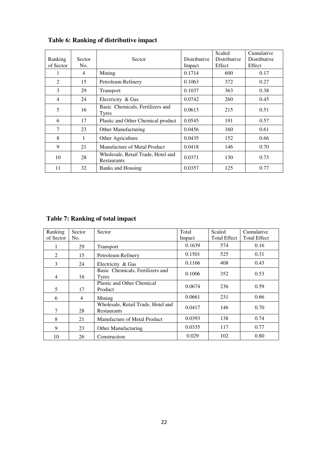| Ranking<br>of Sector | Sector<br>No. | Sector                                            | Distributive<br>Impact | Scaled<br>Distributive<br>Effect | Cumulative<br>Distributive<br>Effect |
|----------------------|---------------|---------------------------------------------------|------------------------|----------------------------------|--------------------------------------|
|                      | 4             | Mining                                            | 0.1714                 | 600                              | 0.17                                 |
| 2                    | 15            | Petroleum Refinery                                | 0.1063                 | 372                              | 0.27                                 |
| 3                    | 29            | <b>Transport</b>                                  | 0.1037                 | 363                              | 0.38                                 |
| 4                    | 24            | Electricity & Gas                                 | 0.0742                 | 260                              | 0.45                                 |
| 5                    | 16            | Basic Chemicals, Fertilizers and<br>Tyres         | 0.0613                 | 215                              | 0.51                                 |
| 6                    | 17            | Plastic and Other Chemical product                | 0.0545                 | 191                              | 0.57                                 |
| 7                    | 23            | Other Manufacturing                               | 0.0456                 | 160                              | 0.61                                 |
| 8                    | 1             | Other Agriculture                                 | 0.0435                 | 152                              | 0.66                                 |
| 9                    | 21            | Manufacture of Metal Product                      | 0.0418                 | 146                              | 0.70                                 |
| 10                   | 28            | Wholesale, Retail Trade, Hotel and<br>Restaurants | 0.0371                 | 130                              | 0.73                                 |
| 11                   | 32            | <b>Banks and Housing</b>                          | 0.0357                 | 125                              | 0.77                                 |

## **Table 6: Ranking of distributive impact**

## **Table 7: Ranking of total impact**

| Ranking<br>of Sector | <b>Sector</b><br>No. | Sector                                            | Total<br>Impact | Scaled<br><b>Total Effect</b> | Cumulative<br><b>Total Effect</b> |
|----------------------|----------------------|---------------------------------------------------|-----------------|-------------------------------|-----------------------------------|
|                      | 29                   | <b>Transport</b>                                  | 0.1639          | 574                           | 0.16                              |
| 2                    | 15                   | Petroleum Refinery                                | 0.1501          | 525                           | 0.31                              |
| 3                    | 24                   | Electricity & Gas                                 | 0.1166          | 408                           | 0.43                              |
| $\overline{4}$       | 16                   | Basic Chemicals, Fertilizers and<br>Tyres         | 0.1006          | 352                           | 0.53                              |
| 5                    | 17                   | Plastic and Other Chemical<br>Product             | 0.0674          | 236                           | 0.59                              |
| 6                    | 4                    | Mining                                            | 0.0661          | 231                           | 0.66                              |
| 7                    | 28                   | Wholesale, Retail Trade, Hotel and<br>Restaurants | 0.0417          | 146                           | 0.70                              |
| 8                    | 21                   | Manufacture of Metal Product                      | 0.0393          | 138                           | 0.74                              |
| 9                    | 23                   | Other Manufacturing                               | 0.0335          | 117                           | 0.77                              |
| 10                   | 26                   | Construction                                      | 0.029           | 102                           | 0.80                              |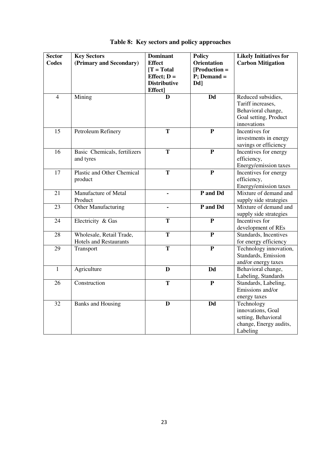| <b>Sector</b>  | <b>Key Sectors</b>                | <b>Dominant</b>     | <b>Policy</b>      | <b>Likely Initiatives for</b> |
|----------------|-----------------------------------|---------------------|--------------------|-------------------------------|
| <b>Codes</b>   | (Primary and Secondary)           | <b>Effect</b>       | <b>Orientation</b> | <b>Carbon Mitigation</b>      |
|                |                                   | $[T = Total]$       | $[Production =$    |                               |
|                |                                   | Effect; $D =$       | $P$ ; Demand =     |                               |
|                |                                   | <b>Distributive</b> | Dd <sub>]</sub>    |                               |
|                |                                   | Effect]             |                    |                               |
| $\overline{4}$ | Mining                            | D                   | <b>Dd</b>          | Reduced subsidies,            |
|                |                                   |                     |                    | Tariff increases,             |
|                |                                   |                     |                    | Behavioral change,            |
|                |                                   |                     |                    | Goal setting, Product         |
|                |                                   |                     |                    | innovations                   |
| 15             | Petroleum Refinery                | T                   | ${\bf P}$          | Incentives for                |
|                |                                   |                     |                    | investments in energy         |
|                |                                   |                     |                    | savings or efficiency         |
| 16             | Basic Chemicals, fertilizers      | T                   | ${\bf P}$          | Incentives for energy         |
|                | and tyres                         |                     |                    | efficiency,                   |
|                |                                   |                     |                    | Energy/emission taxes         |
| 17             | <b>Plastic and Other Chemical</b> | T                   | ${\bf P}$          | Incentives for energy         |
|                | product                           |                     |                    | efficiency,                   |
|                |                                   |                     |                    | Energy/emission taxes         |
| 21             | Manufacture of Metal              |                     | P and Dd           | Mixture of demand and         |
|                | Product                           |                     |                    | supply side strategies        |
| 23             | Other Manufacturing               | $\blacksquare$      | P and Dd           | Mixture of demand and         |
|                |                                   |                     |                    | supply side strategies        |
| 24             | Electricity & Gas                 | T                   | $\mathbf{P}$       | Incentives for                |
|                |                                   |                     |                    | development of REs            |
| 28             | Wholesale, Retail Trade,          | T                   | ${\bf P}$          | Standards, Incentives         |
|                | <b>Hotels and Restaurants</b>     |                     |                    | for energy efficiency         |
| 29             | Transport                         | T                   | ${\bf P}$          | Technology innovation,        |
|                |                                   |                     |                    | Standards, Emission           |
|                |                                   |                     |                    | and/or energy taxes           |
| $\mathbf{1}$   | Agriculture                       | D                   | Dd                 | Behavioral change,            |
|                |                                   |                     |                    | Labeling, Standards           |
| 26             | Construction                      | T                   | ${\bf P}$          | Standards, Labeling,          |
|                |                                   |                     |                    | Emissions and/or              |
|                |                                   |                     |                    | energy taxes                  |
| 32             | <b>Banks and Housing</b>          | D                   | Dd                 | Technology                    |
|                |                                   |                     |                    | innovations, Goal             |
|                |                                   |                     |                    | setting, Behavioral           |
|                |                                   |                     |                    | change, Energy audits,        |
|                |                                   |                     |                    | Labeling                      |

## **Table 8: Key sectors and policy approaches**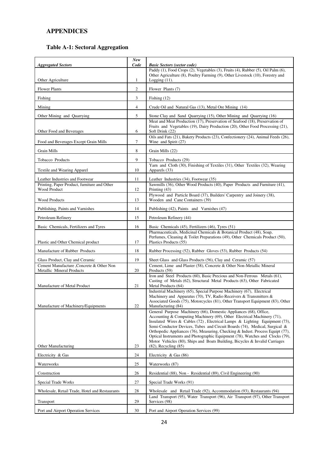### **APPENDICES**

## **Table A-1: Sectoral Aggregation**

| <b>Aggregated Sectors</b>                                                    | <b>New</b><br>Code | <b>Basic Sectors (sector code)</b>                                                                                                                             |
|------------------------------------------------------------------------------|--------------------|----------------------------------------------------------------------------------------------------------------------------------------------------------------|
|                                                                              |                    | Paddy (1), Food Crops (2), Vegetables (3), Fruits (4), Rubber (5), Oil Palm (6),                                                                               |
| Other Agriculture                                                            | $\mathbf{1}$       | Other Agriculture (8), Poultry Farming (9), Other Livestock (10), Forestry and<br>Logging $(11)$ .                                                             |
| <b>Flower Plants</b>                                                         | 2                  | Flower Plants (7)                                                                                                                                              |
| Fishing                                                                      | 3                  | Fishing $(12)$                                                                                                                                                 |
| Mining                                                                       | $\overline{4}$     | Crude Oil and Natural Gas (13), Metal Ore Mining (14)                                                                                                          |
| Other Mining and Quarrying                                                   | 5                  | Stone Clay and Sand Quarrying (15), Other Mining and Quarrying (16)                                                                                            |
|                                                                              |                    | Meat and Meat Production (17), Preservation of Seafood (18), Preservation of<br>Fruits and Vegetables (19), Dairy Production (20), Other Food Processing (21), |
| Other Food and Beverages                                                     | 6                  | Soft Drink (22)<br>Oils and Fats (21), Bakery Products (23), Confectionery (24), Animal Feeds (26),                                                            |
| Food and Beverages Except Grain Mills                                        | 7                  | Wine and Spirit (27)                                                                                                                                           |
| Grain Mills                                                                  | 8                  | Grain Mills (22)                                                                                                                                               |
| Tobacco Products                                                             | 9                  | Tobacco Products (29)                                                                                                                                          |
| Textile and Wearing Apparel                                                  | 10                 | Yarn and Cloth (30), Finishing of Textiles (31), Other Textiles (32), Wearing<br>Apparels (33)                                                                 |
| Leather Industries and Footwear                                              | 11                 | Leather Industries (34), Footwear (35)                                                                                                                         |
| Printing, Paper Product, furniture and Other<br>Wood Product                 | 12                 | Sawmills (36), Other Wood Products (40), Paper Products and Furniture (41),<br>Printing $(43)$                                                                 |
| <b>Wood Products</b>                                                         | 13                 | Plywood and Particle Board (37), Builders' Carpentry and Joinery (38),<br>Wooden and Cane Containers (39)                                                      |
| Publishing, Paints and Varnishes                                             | 14                 | Publishing (42), Paints and Varnishes (47)                                                                                                                     |
| Petroleum Refinery                                                           | 15                 | Petroleum Refinery (44)                                                                                                                                        |
| Basic Chemicals, Fertilizers and Tyres                                       | 16                 | Basic Chemicals (45), Fertilizers (46), Tyres (51)                                                                                                             |
|                                                                              |                    | Pharmaceuticals, Medicinal Chemicals & Botanical Product (48), Soap,<br>Perfumes, Cleaning & Toilet Preparations (49), Other Chemicals Product (50),           |
| Plastic and Other Chemical product                                           | 17                 | Plastics Products (55)                                                                                                                                         |
| Manufacture of Rubber Products                                               | 18                 | Rubber Processing (52), Rubber Gloves (53), Rubber Products (54)                                                                                               |
| Glass Product, Clay and Ceramic                                              | 19                 | Sheet Glass and Glass Products (56), Clay and Ceramic (57)                                                                                                     |
| Cement Manufacture ,Concrete & Other Non<br><b>Metallic Mineral Products</b> | 20                 | Cement, Lime and Plaster (58), Concrete & Other Non-Metallic Mineral<br>Products (59)                                                                          |
|                                                                              |                    | Iron and Steel Products (60), Basic Precious and Non-Ferrous Metals (61),<br>Casting of Metals (62), Structural Metal Products (63), Other Fabricated          |
| Manufacture of Metal Product                                                 | 21                 | Metal Products (64)<br>Industrial Machinery (65), Special Purpose Machinery (67), Electrical                                                                   |
|                                                                              |                    | Machinery and Apparatus (70), TV, Radio Receivers & Transmitters &                                                                                             |
| Manufacture of Machinery/Equipments                                          | 22                 | Associated Goods (75), Motorcycles (81), Other Transport Equipment (83), Other<br>Manufacturing (84)                                                           |
|                                                                              |                    | General Purpose Machinery (66), Domestic Appliances (68), Office,<br>Accounting & Computing Machinery (69), Other Electrical Machinery (71),                   |
|                                                                              |                    | Insulated Wires & Cables (72), Electrical Lamps & Lighting Equipment (73),                                                                                     |
|                                                                              |                    | Semi-Conductor Devices, Tubes and Circuit Boards (74), Medical, Surgical &<br>Orthopedic Appliances (76), Measuring, Checking & Indust. Process Equipt (77),   |
|                                                                              |                    | Optical Instruments and Photographic Equipment (78), Watches and Clocks (79),                                                                                  |
| Other Manufacturing                                                          | 23                 | Motor Vehicles (80), Ships and Boats Building, Bicycles & Invalid Carriages<br>$(82)$ , Recycling $(85)$                                                       |
| Electricity & Gas                                                            | 24                 | Electricity & Gas (86)                                                                                                                                         |
| Waterworks                                                                   | 25                 | Waterworks (87)                                                                                                                                                |
| Construction                                                                 | 26                 | Residential (88), Non - Residential (89), Civil Engineering (90)                                                                                               |
| Special Trade Works                                                          | 27                 | Special Trade Works (91)                                                                                                                                       |
| Wholesale, Retail Trade, Hotel and Restaurants                               | 28                 | Wholesale and Retail Trade (92), Accommodation (93), Restaurants (94)                                                                                          |
| Transport                                                                    | 29                 | Land Transport (95), Water Transport (96), Air Transport (97), Other Transport<br>Services (98)                                                                |
| Port and Airport Operation Services                                          | 30                 | Port and Airport Operation Services (99)                                                                                                                       |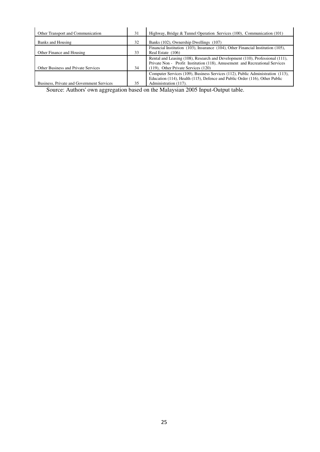| Other Transport and Communication          | 31 | Highway, Bridge & Tunnel Operation Services (100), Communication (101)           |
|--------------------------------------------|----|----------------------------------------------------------------------------------|
| Banks and Housing                          | 32 | Banks (102), Ownership Dwellings (107)                                           |
|                                            |    | Financial Institution (103), Insurance (104), Other Financial Institution (105), |
| Other Finance and Housing                  | 33 | Real Estate (106)                                                                |
|                                            |    | Rental and Leasing (108), Research and Development (110), Professional (111),    |
|                                            |    | Private Non - Profit Institution (118), Amusement and Recreational Services      |
| <b>Other Business and Private Services</b> | 34 | $(119)$ , Other Private Services $(120)$                                         |
|                                            |    | Computer Services (109), Business Services (112), Public Administration (113),   |
|                                            |    | Education (114), Health (115), Defence and Public Order (116), Other Public      |
| Business, Private and Government Services  | 35 | Administration (117).                                                            |

Source: Authors' own aggregation based on the Malaysian 2005 Input-Output table.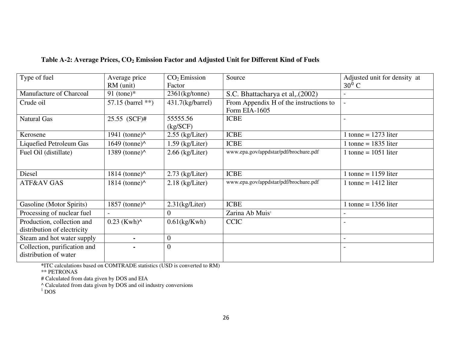| Type of fuel                 | Average price                                 | CO <sub>2</sub> Emission | Source                                 | Adjusted unit for density at |
|------------------------------|-----------------------------------------------|--------------------------|----------------------------------------|------------------------------|
|                              | RM (unit)                                     | Factor                   |                                        | $30^0$ C                     |
| Manufacture of Charcoal      | 91 (tone) $*$                                 | $2361$ (kg/tonne)        | S.C. Bhattacharya et al, (2002)        |                              |
| Crude oil                    | 57.15 (barrel $**$ )                          | $431.7$ (kg/barrel)      | From Appendix H of the instructions to |                              |
|                              |                                               |                          | Form EIA-1605                          |                              |
| <b>Natural Gas</b>           | 25.55 (SCF)#                                  | 55555.56                 | <b>ICBE</b>                            |                              |
|                              |                                               | (kg/SCF)                 |                                        |                              |
| Kerosene                     | 1941 (tonne) $\wedge$                         | $2.55$ (kg/Liter)        | <b>ICBE</b>                            | tonne = $1273$ liter         |
| Liquefied Petroleum Gas      | $1649$ (tonne) <sup><math>\wedge</math></sup> | $1.59$ (kg/Liter)        | <b>ICBE</b>                            | 1 tonne = $1835$ liter       |
| Fuel Oil (distillate)        | $1389$ (tonne) <sup><math>\wedge</math></sup> | $2.66$ (kg/Liter)        | www.epa.gov/appdstar/pdf/brochure.pdf  | 1 tonne = $1051$ liter       |
|                              |                                               |                          |                                        |                              |
| Diesel                       | $1814$ (tonne) <sup><math>\wedge</math></sup> | $2.73$ (kg/Liter)        | <b>ICBE</b>                            | 1 tonne = $1159$ liter       |
| ATF&AV GAS                   | $1814$ (tonne) <sup><math>\wedge</math></sup> | $2.18$ (kg/Liter)        | www.epa.gov/appdstar/pdf/brochure.pdf  | 1 tonne = $1412$ liter       |
|                              |                                               |                          |                                        |                              |
|                              |                                               |                          | <b>ICBE</b>                            | 1 tonne = $1356$ liter       |
| Gasoline (Motor Spirits)     | $1857$ (tonne) <sup><math>\wedge</math></sup> | $2.31$ (kg/Liter)        |                                        |                              |
| Processing of nuclear fuel   |                                               | $\theta$                 | Zarina Ab Muis <sup>1</sup>            |                              |
| Production, collection and   | $0.23$ (Kwh) <sup><math>\wedge</math></sup>   | $0.61$ (kg/Kwh)          | <b>CCIC</b>                            |                              |
| distribution of electricity  |                                               |                          |                                        |                              |
| Steam and hot water supply   |                                               | $\boldsymbol{0}$         |                                        |                              |
| Collection, purification and |                                               | $\overline{0}$           |                                        |                              |
| distribution of water        |                                               |                          |                                        |                              |
|                              |                                               |                          |                                        |                              |

#### **Table A-2: Average Prices, CO2 Emission Factor and Adjusted Unit for Different Kind of Fuels**

**\***ITC calculations based on COMTRADE statistics (USD is converted to RM)

\*\* PETRONAS

# Calculated from data given by DOS and EIA

^ Calculated from data given by DOS and oil industry conversions

 $1$  DOS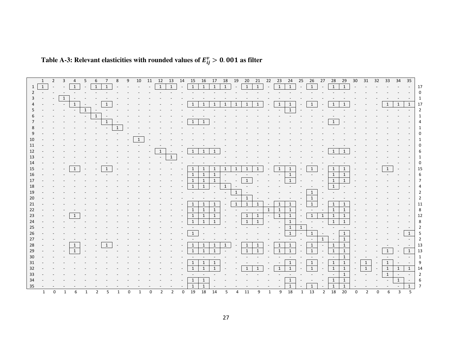| $\mathbf{1}$<br>$\mathbf{1}$<br>1<br>1<br>$\mathbf{1}$<br>1<br>$\mathbf{1}$<br>1<br>1<br>1<br>1<br>$\left( \frac{1}{2} \right)$<br>$\left(\begin{array}{c} 1 \end{array}\right)$<br>$\mathbf{1}$<br>$\mathbf{1}$<br>1<br>$\mathbf{1}$<br>1<br>1<br>1<br>1<br>$\mathbf{1}$<br>$\overline{1}$<br>1<br>1<br>1<br>1<br>1<br>1<br>1<br>1<br>1<br>1<br>1<br>1<br>1<br>1<br>$\mathbf{1}$<br>13<br>1<br>$\mathbf{1}$<br>1<br>1<br>1<br>1<br>1<br>1<br>15<br>1<br>$\mathbf{1}$<br>1<br>1<br>1<br>1<br>$\mathbf{1}$<br>$\mathbf{1}$<br>1<br>1<br>1<br>1<br>18<br>1<br>1<br>1<br>$\mathbf{1}$<br>1<br>1<br>$\mathbf{1}$<br>1<br>21<br>$\mathbf{1}$<br>1<br>1<br>1<br>$\mathbf{1}$<br>1<br>1<br>1<br>$\mathbf{1}$<br>1<br>1<br>$\overline{1}$<br>1<br>23<br>1<br>1<br>$\mathbf{1}$<br>1<br>$\mathbf{1}$<br>1<br>$\mathbf{1}$<br>1<br>$\mathbf{1}$<br>24<br>1<br>25<br>$\mathbf{1}$<br>$\mathbf{1}$<br>26<br>1<br>27<br>1<br>1<br>$\overline{1}$<br>1<br>1<br>1<br>28<br>1<br>$\mathbf{1}$<br>$\mathbf{1}$<br>1<br>1<br>1<br>29<br>$\mathbf{1}$<br>30<br>1<br>1<br>1<br>31<br>$\mathbf{1}$<br>$\mathbf{1}$<br>1<br>32<br>1<br>1<br>1<br>1<br>1<br>33<br>$\overline{1}$<br>34<br>1<br>1<br>1<br>$\mathbf{1}$<br>35<br>1<br>19<br>18<br>20<br>18<br>13<br>18<br>11 |
|-----------------------------------------------------------------------------------------------------------------------------------------------------------------------------------------------------------------------------------------------------------------------------------------------------------------------------------------------------------------------------------------------------------------------------------------------------------------------------------------------------------------------------------------------------------------------------------------------------------------------------------------------------------------------------------------------------------------------------------------------------------------------------------------------------------------------------------------------------------------------------------------------------------------------------------------------------------------------------------------------------------------------------------------------------------------------------------------------------------------------------------------------------------------------------------------------------------------------------------------------------|
|                                                                                                                                                                                                                                                                                                                                                                                                                                                                                                                                                                                                                                                                                                                                                                                                                                                                                                                                                                                                                                                                                                                                                                                                                                                     |
|                                                                                                                                                                                                                                                                                                                                                                                                                                                                                                                                                                                                                                                                                                                                                                                                                                                                                                                                                                                                                                                                                                                                                                                                                                                     |
|                                                                                                                                                                                                                                                                                                                                                                                                                                                                                                                                                                                                                                                                                                                                                                                                                                                                                                                                                                                                                                                                                                                                                                                                                                                     |
|                                                                                                                                                                                                                                                                                                                                                                                                                                                                                                                                                                                                                                                                                                                                                                                                                                                                                                                                                                                                                                                                                                                                                                                                                                                     |
|                                                                                                                                                                                                                                                                                                                                                                                                                                                                                                                                                                                                                                                                                                                                                                                                                                                                                                                                                                                                                                                                                                                                                                                                                                                     |
|                                                                                                                                                                                                                                                                                                                                                                                                                                                                                                                                                                                                                                                                                                                                                                                                                                                                                                                                                                                                                                                                                                                                                                                                                                                     |
|                                                                                                                                                                                                                                                                                                                                                                                                                                                                                                                                                                                                                                                                                                                                                                                                                                                                                                                                                                                                                                                                                                                                                                                                                                                     |
|                                                                                                                                                                                                                                                                                                                                                                                                                                                                                                                                                                                                                                                                                                                                                                                                                                                                                                                                                                                                                                                                                                                                                                                                                                                     |
|                                                                                                                                                                                                                                                                                                                                                                                                                                                                                                                                                                                                                                                                                                                                                                                                                                                                                                                                                                                                                                                                                                                                                                                                                                                     |
|                                                                                                                                                                                                                                                                                                                                                                                                                                                                                                                                                                                                                                                                                                                                                                                                                                                                                                                                                                                                                                                                                                                                                                                                                                                     |
|                                                                                                                                                                                                                                                                                                                                                                                                                                                                                                                                                                                                                                                                                                                                                                                                                                                                                                                                                                                                                                                                                                                                                                                                                                                     |
|                                                                                                                                                                                                                                                                                                                                                                                                                                                                                                                                                                                                                                                                                                                                                                                                                                                                                                                                                                                                                                                                                                                                                                                                                                                     |
|                                                                                                                                                                                                                                                                                                                                                                                                                                                                                                                                                                                                                                                                                                                                                                                                                                                                                                                                                                                                                                                                                                                                                                                                                                                     |
|                                                                                                                                                                                                                                                                                                                                                                                                                                                                                                                                                                                                                                                                                                                                                                                                                                                                                                                                                                                                                                                                                                                                                                                                                                                     |
|                                                                                                                                                                                                                                                                                                                                                                                                                                                                                                                                                                                                                                                                                                                                                                                                                                                                                                                                                                                                                                                                                                                                                                                                                                                     |
|                                                                                                                                                                                                                                                                                                                                                                                                                                                                                                                                                                                                                                                                                                                                                                                                                                                                                                                                                                                                                                                                                                                                                                                                                                                     |
|                                                                                                                                                                                                                                                                                                                                                                                                                                                                                                                                                                                                                                                                                                                                                                                                                                                                                                                                                                                                                                                                                                                                                                                                                                                     |
|                                                                                                                                                                                                                                                                                                                                                                                                                                                                                                                                                                                                                                                                                                                                                                                                                                                                                                                                                                                                                                                                                                                                                                                                                                                     |
|                                                                                                                                                                                                                                                                                                                                                                                                                                                                                                                                                                                                                                                                                                                                                                                                                                                                                                                                                                                                                                                                                                                                                                                                                                                     |
|                                                                                                                                                                                                                                                                                                                                                                                                                                                                                                                                                                                                                                                                                                                                                                                                                                                                                                                                                                                                                                                                                                                                                                                                                                                     |
|                                                                                                                                                                                                                                                                                                                                                                                                                                                                                                                                                                                                                                                                                                                                                                                                                                                                                                                                                                                                                                                                                                                                                                                                                                                     |
|                                                                                                                                                                                                                                                                                                                                                                                                                                                                                                                                                                                                                                                                                                                                                                                                                                                                                                                                                                                                                                                                                                                                                                                                                                                     |
|                                                                                                                                                                                                                                                                                                                                                                                                                                                                                                                                                                                                                                                                                                                                                                                                                                                                                                                                                                                                                                                                                                                                                                                                                                                     |
|                                                                                                                                                                                                                                                                                                                                                                                                                                                                                                                                                                                                                                                                                                                                                                                                                                                                                                                                                                                                                                                                                                                                                                                                                                                     |
|                                                                                                                                                                                                                                                                                                                                                                                                                                                                                                                                                                                                                                                                                                                                                                                                                                                                                                                                                                                                                                                                                                                                                                                                                                                     |
|                                                                                                                                                                                                                                                                                                                                                                                                                                                                                                                                                                                                                                                                                                                                                                                                                                                                                                                                                                                                                                                                                                                                                                                                                                                     |
|                                                                                                                                                                                                                                                                                                                                                                                                                                                                                                                                                                                                                                                                                                                                                                                                                                                                                                                                                                                                                                                                                                                                                                                                                                                     |
|                                                                                                                                                                                                                                                                                                                                                                                                                                                                                                                                                                                                                                                                                                                                                                                                                                                                                                                                                                                                                                                                                                                                                                                                                                                     |
|                                                                                                                                                                                                                                                                                                                                                                                                                                                                                                                                                                                                                                                                                                                                                                                                                                                                                                                                                                                                                                                                                                                                                                                                                                                     |
|                                                                                                                                                                                                                                                                                                                                                                                                                                                                                                                                                                                                                                                                                                                                                                                                                                                                                                                                                                                                                                                                                                                                                                                                                                                     |
|                                                                                                                                                                                                                                                                                                                                                                                                                                                                                                                                                                                                                                                                                                                                                                                                                                                                                                                                                                                                                                                                                                                                                                                                                                                     |
|                                                                                                                                                                                                                                                                                                                                                                                                                                                                                                                                                                                                                                                                                                                                                                                                                                                                                                                                                                                                                                                                                                                                                                                                                                                     |
|                                                                                                                                                                                                                                                                                                                                                                                                                                                                                                                                                                                                                                                                                                                                                                                                                                                                                                                                                                                                                                                                                                                                                                                                                                                     |
|                                                                                                                                                                                                                                                                                                                                                                                                                                                                                                                                                                                                                                                                                                                                                                                                                                                                                                                                                                                                                                                                                                                                                                                                                                                     |
| 10 11 12 13 14 15<br>16<br>17  18  19  20<br>21 22 23<br>35<br>2<br>3<br>5<br>6<br>8<br>9<br>24  25  26  27  28<br>30<br>33<br>34<br>29<br>- 31<br>32<br>4                                                                                                                                                                                                                                                                                                                                                                                                                                                                                                                                                                                                                                                                                                                                                                                                                                                                                                                                                                                                                                                                                          |

## Table A-3: Relevant elasticities with rounded values of  $E_{ij}^{\nu} > 0.001$  as filter